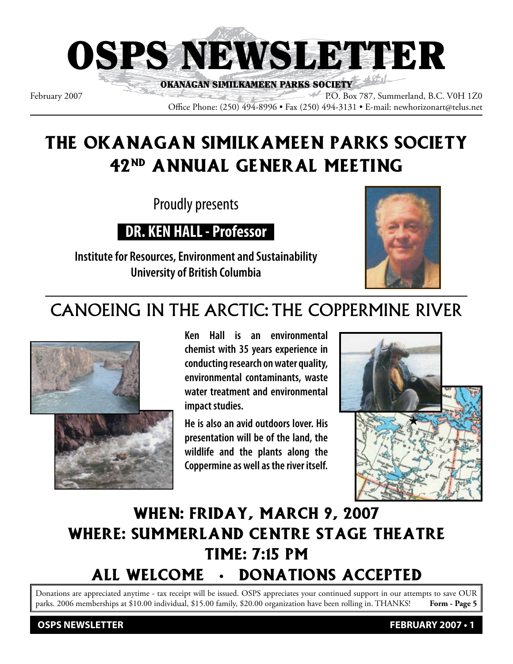

February 2007 P.O. Box 787, Summerland, B.C. V0H 1Z0 Office Phone: (250) 494-8996 • Fax (250) 494-3131 • E-mail: newhorizonart@telus.net

# THE OKANAGAN SIMILKAMEEN PARKS SOCIETY 42nd ANNUAL GENERAL MEETING

Proudly presents

**DR. KEN HALL - Professor**

**Institute for Resources, Environment and Sustainability University of British Columbia**



# CANOEING IN THE ARCTIC: THE COPPERMINE RIVER



**Ken Hall is an environmental chemist with 35 years experience in conducting research on water quality, environmental contaminants, waste water treatment and environmental impact studies.**

**He is also an avid outdoors lover. His presentation will be of the land, the wildlife and the plants along the Coppermine as well as the river itself.**



# WHEN: Friday, March 9, 2007 WHERE: Summerland Centre Stage Theatre TIME: 7:15 pm ALL WELCOME • DONATIONS ACCEPTED

Donations are appreciated anytime - tax receipt will be issued. OSPS appreciates your continued support in our attempts to save OUR parks. 2006 memberships at \$10.00 individual, \$15.00 family, \$20.00 organization have been rolling in. THANKS! **Form - Page 5**

**OSPS NEWSLETTER FEBRUARY 2007 • 1**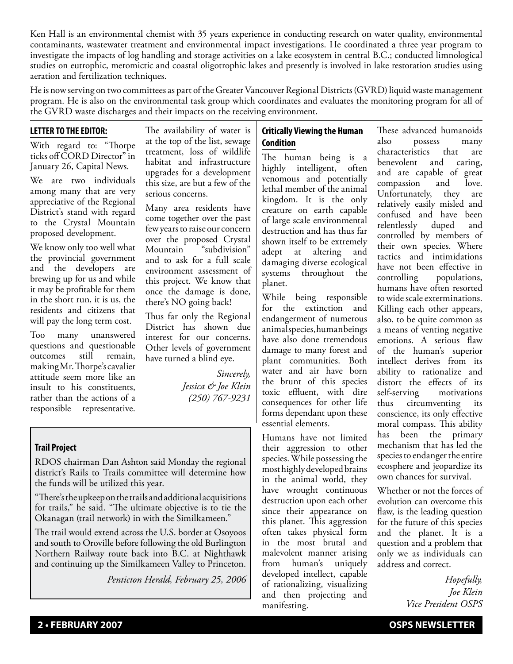Ken Hall is an environmental chemist with 35 years experience in conducting research on water quality, environmental contaminants, wastewater treatment and environmental impact investigations. He coordinated a three year program to investigate the impacts of log handling and storage activities on a lake ecosystem in central B.C.; conducted limnological studies on eutrophic, meromictic and coastal oligotrophic lakes and presently is involved in lake restoration studies using aeration and fertilization techniques.

He is now serving on two committees as part of the Greater Vancouver Regional Districts (GVRD) liquid waste management program. He is also on the environmental task group which coordinates and evaluates the monitoring program for all of the GVRD waste discharges and their impacts on the receiving environment.

### **LETTER TO THE EDITOR:**

With regard to: "Thorpe ticks off CORD Director" in January 26, Capital News.

We are two individuals among many that are very appreciative of the Regional District's stand with regard to the Crystal Mountain proposed development.

We know only too well what the provincial government and the developers are brewing up for us and while it may be profitable for them in the short run, it is us, the residents and citizens that will pay the long term cost.

Too many unanswered questions and questionable outcomes still remain, making Mr. Thorpe's cavalier attitude seem more like an insult to his constituents, rather than the actions of a responsible representative.

The availability of water is at the top of the list, sewage treatment, loss of wildlife habitat and infrastructure upgrades for a development this size, are but a few of the serious concerns.

Many area residents have come together over the past few years to raise our concern over the proposed Crystal Mountain "subdivision" and to ask for a full scale environment assessment of this project. We know that once the damage is done, there's NO going back!

Thus far only the Regional District has shown due interest for our concerns. Other levels of government have turned a blind eye.

> *Sincerely, Jessica & Joe Klein (250) 767-9231*

## **Trail Project**

RDOS chairman Dan Ashton said Monday the regional district's Rails to Trails committee will determine how the funds will be utilized this year.

"There's the upkeep on the trails and additional acquisitions for trails," he said. "The ultimate objective is to tie the Okanagan (trail network) in with the Similkameen."

The trail would extend across the U.S. border at Osoyoos and south to Oroville before following the old Burlington Northern Railway route back into B.C. at Nighthawk and continuing up the Similkameen Valley to Princeton.

*Penticton Herald, February 25, 2006*

## **Critically Viewing the Human Condition**

The human being is a highly intelligent, often venomous and potentially lethal member of the animal kingdom. It is the only creature on earth capable of large scale environmental destruction and has thus far shown itself to be extremely adept at altering and damaging diverse ecological systems throughout the planet.

While being responsible for the extinction and endangerment of numerous animal species, human beings have also done tremendous damage to many forest and plant communities. Both water and air have born the brunt of this species toxic effluent, with dire consequences for other life forms dependant upon these essential elements.

Humans have not limited their aggression to other species. While possessing the most highly developed brains in the animal world, they have wrought continuous destruction upon each other since their appearance on this planet. This aggression often takes physical form in the most brutal and malevolent manner arising from human's uniquely developed intellect, capable of rationalizing, visualizing and then projecting and manifesting.

These advanced humanoids also possess many characteristics that are benevolent and caring, and are capable of great compassion and love. Unfortunately, they are relatively easily misled and confused and have been relentlessly duped and controlled by members of their own species. Where tactics and intimidations have not been effective in controlling populations, humans have often resorted to wide scale exterminations. Killing each other appears, also, to be quite common as a means of venting negative emotions. A serious flaw of the human's superior intellect derives from its ability to rationalize and distort the effects of its self-serving motivations thus circumventing its conscience, its only effective moral compass. This ability has been the primary mechanism that has led the species to endanger the entire ecosphere and jeopardize its own chances for survival.

Whether or not the forces of evolution can overcome this flaw, is the leading question for the future of this species and the planet. It is a question and a problem that only we as individuals can address and correct.

> *Hopefully, Joe Klein Vice President OSPS*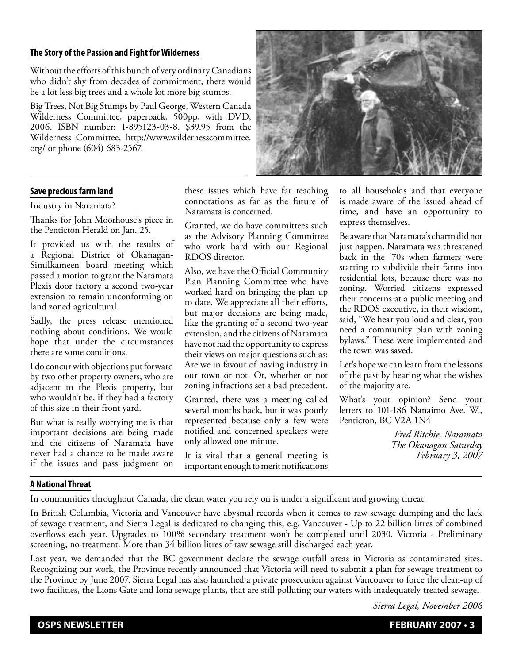#### **The Story of the Passion and Fight for Wilderness**

Without the efforts of this bunch of very ordinary Canadians who didn't shy from decades of commitment, there would be a lot less big trees and a whole lot more big stumps.

Big Trees, Not Big Stumps by Paul George, Western Canada Wilderness Committee, paperback, 500pp, with DVD, 2006. ISBN number: 1-895123-03-8. \$39.95 from the Wilderness Committee, http://www.wildernesscommittee. org/ or phone (604) 683-2567.



#### **Save precious farm land**

#### Industry in Naramata?

Thanks for John Moorhouse's piece in the Penticton Herald on Jan. 25.

It provided us with the results of a Regional District of Okanagan-Similkameen board meeting which passed a motion to grant the Naramata Plexis door factory a second two-year extension to remain unconforming on land zoned agricultural.

Sadly, the press release mentioned nothing about conditions. We would hope that under the circumstances there are some conditions.

I do concur with objections put forward by two other property owners, who are adjacent to the Plexis property, but who wouldn't be, if they had a factory of this size in their front yard.

But what is really worrying me is that important decisions are being made and the citizens of Naramata have never had a chance to be made aware if the issues and pass judgment on

these issues which have far reaching connotations as far as the future of Naramata is concerned.

Granted, we do have committees such as the Advisory Planning Committee who work hard with our Regional RDOS director.

Also, we have the Official Community Plan Planning Committee who have worked hard on bringing the plan up to date. We appreciate all their efforts, but major decisions are being made, like the granting of a second two-year extension, and the citizens of Naramata have not had the opportunity to express their views on major questions such as: Are we in favour of having industry in our town or not. Or, whether or not zoning infractions set a bad precedent.

Granted, there was a meeting called several months back, but it was poorly represented because only a few were notified and concerned speakers were only allowed one minute.

It is vital that a general meeting is important enough to merit notifications

to all households and that everyone is made aware of the issued ahead of time, and have an opportunity to express themselves.

Be aware that Naramata's charm did not just happen. Naramata was threatened back in the '70s when farmers were starting to subdivide their farms into residential lots, because there was no zoning. Worried citizens expressed their concerns at a public meeting and the RDOS executive, in their wisdom, said, "We hear you loud and clear, you need a community plan with zoning bylaws." These were implemented and the town was saved.

Let's hope we can learn from the lessons of the past by hearing what the wishes of the majority are.

What's your opinion? Send your letters to 101-186 Nanaimo Ave. W., Penticton, BC V2A 1N4

> *Fred Ritchie, Naramata The Okanagan Saturday February 3, 2007*

## **A National Threat**

In communities throughout Canada, the clean water you rely on is under a significant and growing threat.

In British Columbia, Victoria and Vancouver have abysmal records when it comes to raw sewage dumping and the lack of sewage treatment, and Sierra Legal is dedicated to changing this, e.g. Vancouver - Up to 22 billion litres of combined overflows each year. Upgrades to 100% secondary treatment won't be completed until 2030. Victoria - Preliminary screening, no treatment. More than 34 billion litres of raw sewage still discharged each year.

Last year, we demanded that the BC government declare the sewage outfall areas in Victoria as contaminated sites. Recognizing our work, the Province recently announced that Victoria will need to submit a plan for sewage treatment to the Province by June 2007. Sierra Legal has also launched a private prosecution against Vancouver to force the clean-up of two facilities, the Lions Gate and Iona sewage plants, that are still polluting our waters with inadequately treated sewage.

*Sierra Legal, November 2006*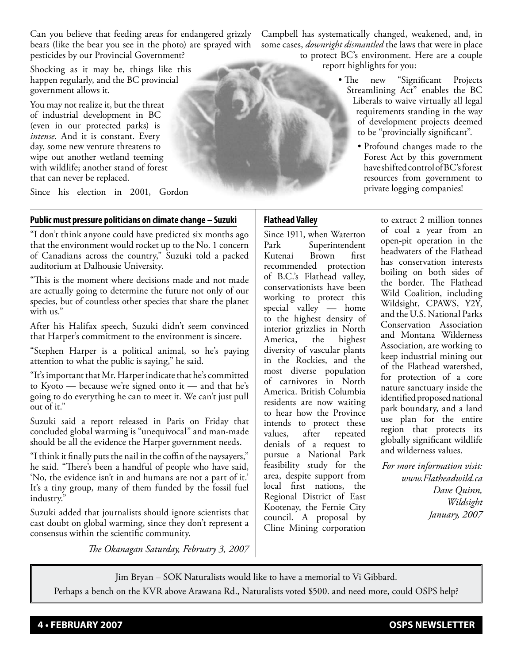Can you believe that feeding areas for endangered grizzly bears (like the bear you see in the photo) are sprayed with pesticides by our Provincial Government?

Shocking as it may be, things like this happen regularly, and the BC provincial government allows it.

You may not realize it, but the threat of industrial development in BC (even in our protected parks) is *intense.* And it is constant. Every day, some new venture threatens to wipe out another wetland teeming with wildlife; another stand of forest that can never be replaced.

Since his election in 2001, Gordon

## **Public must pressure politicians on climate change – Suzuki**

"I don't think anyone could have predicted six months ago that the environment would rocket up to the No. 1 concern of Canadians across the country," Suzuki told a packed auditorium at Dalhousie University.

"This is the moment where decisions made and not made are actually going to determine the future not only of our species, but of countless other species that share the planet with us."

After his Halifax speech, Suzuki didn't seem convinced that Harper's commitment to the environment is sincere.

"Stephen Harper is a political animal, so he's paying attention to what the public is saying," he said.

"It's important that Mr. Harper indicate that he's committed to Kyoto — because we're signed onto it — and that he's going to do everything he can to meet it. We can't just pull out of it."

Suzuki said a report released in Paris on Friday that concluded global warming is "unequivocal" and man-made should be all the evidence the Harper government needs.

"I think it finally puts the nail in the coffin of the naysayers," he said. "There's been a handful of people who have said, 'No, the evidence isn't in and humans are not a part of it.' It's a tiny group, many of them funded by the fossil fuel industry."

Suzuki added that journalists should ignore scientists that cast doubt on global warming, since they don't represent a consensus within the scientific community.

Campbell has systematically changed, weakened, and, in some cases, *downright dismantled* the laws that were in place to protect BC's environment. Here are a couple

report highlights for you:

- The new "Significant Projects Streamlining Act" enables the BC Liberals to waive virtually all legal requirements standing in the way of development projects deemed to be "provincially significant".
	- Profound changes made to the Forest Act by this government have shifted control of BC's forest resources from government to private logging companies!

## **Flathead Valley**

Since 1911, when Waterton Park Superintendent Kutenai Brown first recommended protection of B.C.'s Flathead valley, conservationists have been working to protect this special valley — home to the highest density of interior grizzlies in North America, the highest diversity of vascular plants in the Rockies, and the most diverse population of carnivores in North America. British Columbia residents are now waiting to hear how the Province intends to protect these values, after repeated denials of a request to pursue a National Park feasibility study for the area, despite support from local first nations, the Regional District of East Kootenay, the Fernie City council. A proposal by Cline Mining corporation

to extract 2 million tonnes of coal a year from an open-pit operation in the headwaters of the Flathead has conservation interests boiling on both sides of the border. The Flathead Wild Coalition, including Wildsight, CPAWS, Y2Y, and the U.S. National Parks Conservation Association and Montana Wilderness Association, are working to keep industrial mining out of the Flathead watershed, for protection of a core nature sanctuary inside the identified proposed national park boundary, and a land use plan for the entire region that protects its globally significant wildlife and wilderness values.

*For more information visit: www.Flatheadwild.ca Dave Quinn, Wildsight January, 2007*

*The Okanagan Saturday, February 3, 2007*

Jim Bryan – SOK Naturalists would like to have a memorial to Vi Gibbard.

Perhaps a bench on the KVR above Arawana Rd., Naturalists voted \$500. and need more, could OSPS help?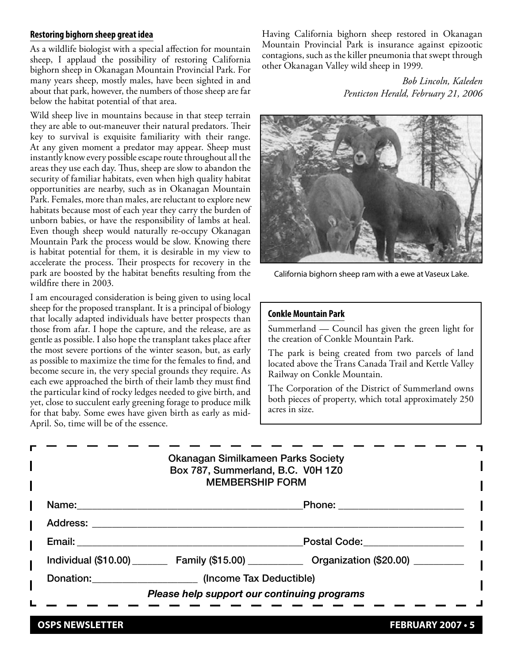#### **Restoring bighorn sheep great idea**

As a wildlife biologist with a special affection for mountain sheep, I applaud the possibility of restoring California bighorn sheep in Okanagan Mountain Provincial Park. For many years sheep, mostly males, have been sighted in and about that park, however, the numbers of those sheep are far below the habitat potential of that area.

Wild sheep live in mountains because in that steep terrain they are able to out-maneuver their natural predators. Their key to survival is exquisite familiarity with their range. At any given moment a predator may appear. Sheep must instantly know every possible escape route throughout all the areas they use each day. Thus, sheep are slow to abandon the security of familiar habitats, even when high quality habitat opportunities are nearby, such as in Okanagan Mountain Park. Females, more than males, are reluctant to explore new habitats because most of each year they carry the burden of unborn babies, or have the responsibility of lambs at heal. Even though sheep would naturally re-occupy Okanagan Mountain Park the process would be slow. Knowing there is habitat potential for them, it is desirable in my view to accelerate the process. Their prospects for recovery in the park are boosted by the habitat benefits resulting from the wildfire there in 2003.

I am encouraged consideration is being given to using local sheep for the proposed transplant. It is a principal of biology that locally adapted individuals have better prospects than those from afar. I hope the capture, and the release, are as gentle as possible. I also hope the transplant takes place after the most severe portions of the winter season, but, as early as possible to maximize the time for the females to find, and become secure in, the very special grounds they require. As each ewe approached the birth of their lamb they must find the particular kind of rocky ledges needed to give birth, and yet, close to succulent early greening forage to produce milk for that baby. Some ewes have given birth as early as mid-April. So, time will be of the essence.

Having California bighorn sheep restored in Okanagan Mountain Provincial Park is insurance against epizootic contagions, such as the killer pneumonia that swept through other Okanagan Valley wild sheep in 1999.

> *Bob Lincoln, Kaleden Penticton Herald, February 21, 2006*



California bighorn sheep ram with a ewe at Vaseux Lake.

#### **Conkle Mountain Park**

Summerland — Council has given the green light for the creation of Conkle Mountain Park.

The park is being created from two parcels of land located above the Trans Canada Trail and Kettle Valley Railway on Conkle Mountain.

The Corporation of the District of Summerland owns both pieces of property, which total approximately 250 acres in size.

|                                                                                                                 | <b>Okanagan Similkameen Parks Society</b><br>Box 787, Summerland, B.C. V0H 1Z0<br><b>MEMBERSHIP FORM</b> |                                                                                                   |
|-----------------------------------------------------------------------------------------------------------------|----------------------------------------------------------------------------------------------------------|---------------------------------------------------------------------------------------------------|
| Name: ________                                                                                                  |                                                                                                          | Phone: _______________________                                                                    |
| Address: Andreas Address and Address and American Address and American American Address and America and America |                                                                                                          |                                                                                                   |
| Email: <b>Example</b>                                                                                           | Postal Code: <u>____________________</u>                                                                 |                                                                                                   |
|                                                                                                                 |                                                                                                          | Individual (\$10.00) __________ Family (\$15.00) ______________ Organization (\$20.00) __________ |
|                                                                                                                 | Donation: (Income Tax Deductible)                                                                        |                                                                                                   |
|                                                                                                                 | Please help support our continuing programs                                                              |                                                                                                   |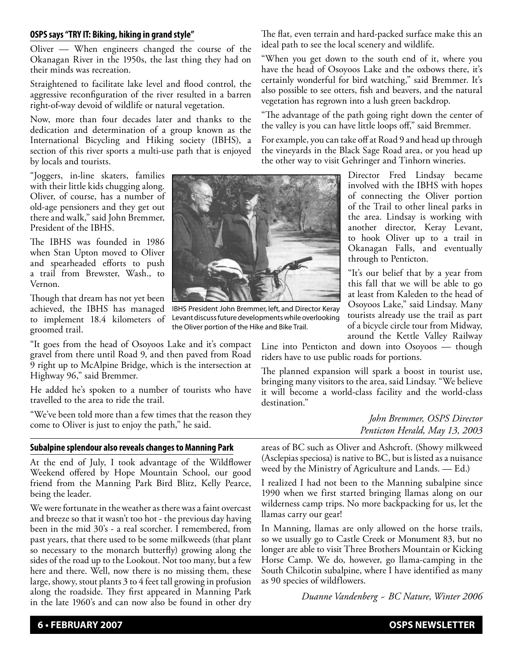### **OSPS says "TRY IT: Biking, hiking in grand style"**

Oliver — When engineers changed the course of the Okanagan River in the 1950s, the last thing they had on their minds was recreation.

Straightened to facilitate lake level and flood control, the aggressive reconfiguration of the river resulted in a barren right-of-way devoid of wildlife or natural vegetation.

Now, more than four decades later and thanks to the dedication and determination of a group known as the International Bicycling and Hiking society (IBHS), a section of this river sports a multi-use path that is enjoyed by locals and tourists.

"Joggers, in-line skaters, families with their little kids chugging along. Oliver, of course, has a number of old-age pensioners and they get out there and walk," said John Bremmer, President of the IBHS.

The IBHS was founded in 1986 when Stan Upton moved to Oliver and spearheaded efforts to push a trail from Brewster, Wash., to Vernon.

Though that dream has not yet been achieved, the IBHS has managed to implement 18.4 kilometers of groomed trail.

"It goes from the head of Osoyoos Lake and it's compact gravel from there until Road 9, and then paved from Road 9 right up to McAlpine Bridge, which is the intersection at Highway 96," said Bremmer.

He added he's spoken to a number of tourists who have travelled to the area to ride the trail.

"We've been told more than a few times that the reason they come to Oliver is just to enjoy the path," he said.

#### **Subalpine splendour also reveals changes to Manning Park**

At the end of July, I took advantage of the Wildflower Weekend offered by Hope Mountain School, our good friend from the Manning Park Bird Blitz, Kelly Pearce, being the leader.

We were fortunate in the weather as there was a faint overcast and breeze so that it wasn't too hot - the previous day having been in the mid 30's - a real scorcher. I remembered, from past years, that there used to be some milkweeds (that plant so necessary to the monarch butterfly) growing along the sides of the road up to the Lookout. Not too many, but a few here and there. Well, now there is no missing them, these large, showy, stout plants 3 to 4 feet tall growing in profusion along the roadside. They first appeared in Manning Park in the late 1960's and can now also be found in other dry The flat, even terrain and hard-packed surface make this an ideal path to see the local scenery and wildlife.

"When you get down to the south end of it, where you have the head of Osoyoos Lake and the oxbows there, it's certainly wonderful for bird watching," said Bremmer. It's also possible to see otters, fish and beavers, and the natural vegetation has regrown into a lush green backdrop.

"The advantage of the path going right down the center of the valley is you can have little loops off," said Bremmer.

For example, you can take off at Road 9 and head up through the vineyards in the Black Sage Road area, or you head up the other way to visit Gehringer and Tinhorn wineries.

> Director Fred Lindsay became involved with the IBHS with hopes of connecting the Oliver portion of the Trail to other lineal parks in the area. Lindsay is working with another director, Keray Levant, to hook Oliver up to a trail in Okanagan Falls, and eventually through to Penticton.

> "It's our belief that by a year from this fall that we will be able to go at least from Kaleden to the head of Osoyoos Lake," said Lindsay. Many tourists already use the trail as part of a bicycle circle tour from Midway, around the Kettle Valley Railway

Line into Penticton and down into Osoyoos — though riders have to use public roads for portions.

The planned expansion will spark a boost in tourist use, bringing many visitors to the area, said Lindsay. "We believe it will become a world-class facility and the world-class destination."

> *John Bremmer, OSPS Director Penticton Herald, May 13, 2003*

areas of BC such as Oliver and Ashcroft. (Showy milkweed (Asclepias speciosa) is native to BC, but is listed as a nuisance weed by the Ministry of Agriculture and Lands. — Ed.)

I realized I had not been to the Manning subalpine since 1990 when we first started bringing llamas along on our wilderness camp trips. No more backpacking for us, let the llamas carry our gear!

In Manning, llamas are only allowed on the horse trails, so we usually go to Castle Creek or Monument 83, but no longer are able to visit Three Brothers Mountain or Kicking Horse Camp. We do, however, go llama-camping in the South Chilcotin subalpine, where I have identified as many as 90 species of wildflowers.

*Duanne Vandenberg ~ BC Nature, Winter 2006*



IBHS President John Bremmer, left, and Director Keray Levant discuss future developments while overlooking

the Oliver portion of the Hike and Bike Trail.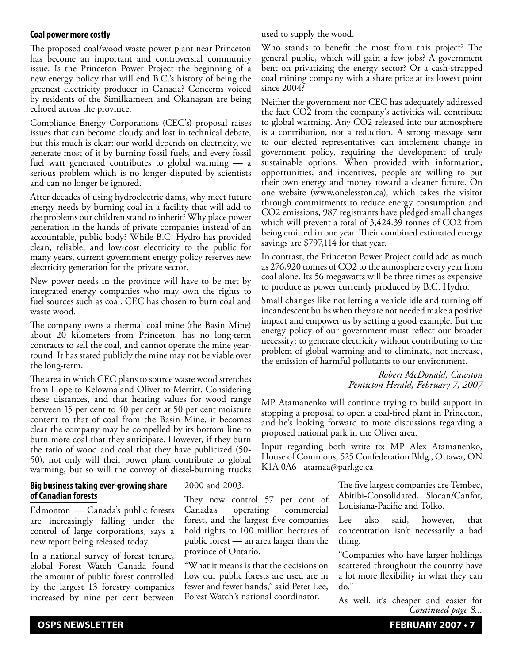#### **Coal power more costly**

The proposed coal/wood waste power plant near Princeton has become an important and controversial community issue. Is the Princeton Power Project the beginning of a new energy policy that will end B.C.'s history of being the greenest electricity producer in Canada? Concerns voiced by residents of the Similkameen and Okanagan are being echoed across the province.

Compliance Energy Corporations (CEC's) proposal raises issues that can become cloudy and lost in technical debate, but this much is clear: our world depends on electricity, we generate most of it by burning fossil fuels, and every fossil fuel watt generated contributes to global warming — a serious problem which is no longer disputed by scientists and can no longer be ignored.

After decades of using hydroelectric dams, why meet future energy needs by burning coal in a facility that will add to the problems our children stand to inherit? Why place power generation in the hands of private companies instead of an accountable, public body? While B.C. Hydro has provided clean, reliable, and low-cost electricity to the public for many years, current government energy policy reserves new electricity generation for the private sector.

New power needs in the province will have to be met by integrated energy companies who may own the rights to fuel sources such as coal. CEC has chosen to burn coal and waste wood.

The company owns a thermal coal mine (the Basin Mine) about 20 kilometers from Princeton, has no long-term contracts to sell the coal, and cannot operate the mine yearround. It has stated publicly the mine may not be viable over the long-term.

The area in which CEC plans to source waste wood stretches from Hope to Kelowna and Oliver to Merritt. Considering these distances, and that heating values for wood range between 15 per cent to 40 per cent at 50 per cent moisture content to that of coal from the Basin Mine, it becomes clear the company may be compelled by its bottom line to burn more coal that they anticipate. However, if they burn the ratio of wood and coal that they have publicized (50- 50), not only will their power plant contribute to global warming, but so will the convoy of diesel-burning trucks

#### **Big business taking ever-growing share of Canadian forests**

Edmonton — Canada's public forests are increasingly falling under the control of large corporations, says a new report being released today.

In a national survey of forest tenure, global Forest Watch Canada found the amount of public forest controlled by the largest 13 forestry companies increased by nine per cent between

2000 and 2003.

They now control 57 per cent of Canada's operating commercial forest, and the largest five companies hold rights to 100 million hectares of public forest — an area larger than the province of Ontario.

"What it means is that the decisions on how our public forests are used are in fewer and fewer hands," said Peter Lee, Forest Watch's national coordinator.

used to supply the wood.

Who stands to benefit the most from this project? The general public, which will gain a few jobs? A government bent on privatizing the energy sector? Or a cash-strapped coal mining company with a share price at its lowest point since 2004?

Neither the government nor CEC has adequately addressed the fact CO2 from the company's activities will contribute to global warming. Any CO2 released into our atmosphere is a contribution, not a reduction. A strong message sent to our elected representatives can implement change in government policy, requiring the development of truly sustainable options. When provided with information, opportunities, and incentives, people are willing to put their own energy and money toward a cleaner future. On one website (www.onelesston.ca), which takes the visitor through commitments to reduce energy consumption and CO2 emissions, 987 registrants have pledged small changes which will prevent a total of 3,424.39 tonnes of CO2 from being emitted in one year. Their combined estimated energy savings are \$797,114 for that year.

In contrast, the Princeton Power Project could add as much as 276,920 tonnes of CO2 to the atmosphere every year from coal alone. Its 56 megawatts will be three times as expensive to produce as power currently produced by B.C. Hydro.

Small changes like not letting a vehicle idle and turning off incandescent bulbs when they are not needed make a positive impact and empower us by setting a good example. But the energy policy of our government must reflect our broader necessity: to generate electricity without contributing to the problem of global warming and to eliminate, not increase, the emission of harmful pollutants to our environment.

> *Robert McDonald, Cawston Penticton Herald, February 7, 2007*

MP Atamanenko will continue trying to build support in stopping a proposal to open a coal-fired plant in Princeton, and he's looking forward to more discussions regarding a proposed national park in the Oliver area.

Input regarding both write to: MP Alex Atamanenko, House of Commons, 525 Confederation Bldg., Ottawa, ON K1A 0A6 atamaa@parl.gc.ca

> The five largest companies are Tembec, Abitibi-Consolidated, Slocan/Canfor, Louisiana-Pacific and Tolko.

> Lee also said, however, that concentration isn't necessarily a bad thing.

> "Companies who have larger holdings scattered throughout the country have a lot more flexibility in what they can do."

> As well, it's cheaper and easier for *Continued page 8...*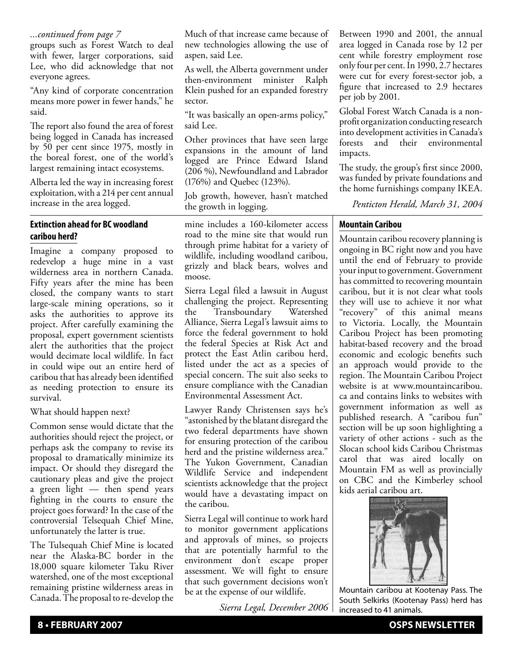### *...continued from page 7*

groups such as Forest Watch to deal with fewer, larger corporations, said Lee, who did acknowledge that not everyone agrees.

"Any kind of corporate concentration means more power in fewer hands," he said.

The report also found the area of forest being logged in Canada has increased by 50 per cent since 1975, mostly in the boreal forest, one of the world's largest remaining intact ecosystems.

Alberta led the way in increasing forest exploitation, with a 214 per cent annual increase in the area logged.

## **Extinction ahead for BC woodland caribou herd?**

Imagine a company proposed to redevelop a huge mine in a vast wilderness area in northern Canada. Fifty years after the mine has been closed, the company wants to start large-scale mining operations, so it asks the authorities to approve its project. After carefully examining the proposal, expert government scientists alert the authorities that the project would decimate local wildlife. In fact in could wipe out an entire herd of caribou that has already been identified as needing protection to ensure its survival.

### What should happen next?

Common sense would dictate that the authorities should reject the project, or perhaps ask the company to revise its proposal to dramatically minimize its impact. Or should they disregard the cautionary pleas and give the project a green light — then spend years fighting in the courts to ensure the project goes forward? In the case of the controversial Telsequah Chief Mine, unfortunately the latter is true.

The Tulsequah Chief Mine is located near the Alaska-BC border in the 18,000 square kilometer Taku River watershed, one of the most exceptional remaining pristine wilderness areas in Canada. The proposal to re-develop the

Much of that increase came because of new technologies allowing the use of aspen, said Lee.

As well, the Alberta government under then-environment minister Ralph Klein pushed for an expanded forestry sector.

"It was basically an open-arms policy," said Lee.

Other provinces that have seen large expansions in the amount of land logged are Prince Edward Island (206 %), Newfoundland and Labrador (176%) and Quebec (123%).

Job growth, however, hasn't matched the growth in logging.

mine includes a 160-kilometer access road to the mine site that would run through prime habitat for a variety of wildlife, including woodland caribou, grizzly and black bears, wolves and moose.

Sierra Legal filed a lawsuit in August challenging the project. Representing the Transboundary Watershed Alliance, Sierra Legal's lawsuit aims to force the federal government to hold the federal Species at Risk Act and protect the East Atlin caribou herd, listed under the act as a species of special concern. The suit also seeks to ensure compliance with the Canadian Environmental Assessment Act.

Lawyer Randy Christensen says he's "astonished by the blatant disregard the two federal departments have shown for ensuring protection of the caribou herd and the pristine wilderness area." The Yukon Government, Canadian Wildlife Service and independent scientists acknowledge that the project would have a devastating impact on the caribou.

Sierra Legal will continue to work hard to monitor government applications and approvals of mines, so projects that are potentially harmful to the environment don't escape proper assessment. We will fight to ensure that such government decisions won't be at the expense of our wildlife.

*Sierra Legal, December 2006*

Between 1990 and 2001, the annual area logged in Canada rose by 12 per cent while forestry employment rose only four per cent. In 1990, 2.7 hectares were cut for every forest-sector job, a figure that increased to 2.9 hectares per job by 2001.

Global Forest Watch Canada is a nonprofit organization conducting research into development activities in Canada's forests and their environmental impacts.

The study, the group's first since 2000, was funded by private foundations and the home furnishings company IKEA.

*Penticton Herald, March 31, 2004*

## **Mountain Caribou**

Mountain caribou recovery planning is ongoing in BC right now and you have until the end of February to provide your input to government. Government has committed to recovering mountain caribou, but it is not clear what tools they will use to achieve it nor what "recovery" of this animal means to Victoria. Locally, the Mountain Caribou Project has been promoting habitat-based recovery and the broad economic and ecologic benefits such an approach would provide to the region. The Mountain Caribou Project website is at www.mountaincaribou. ca and contains links to websites with government information as well as published research. A "caribou fun" section will be up soon highlighting a variety of other actions - such as the Slocan school kids Caribou Christmas carol that was aired locally on Mountain FM as well as provincially on CBC and the Kimberley school kids aerial caribou art.



Mountain caribou at Kootenay Pass. The South Selkirks (Kootenay Pass) herd has increased to 41 animals.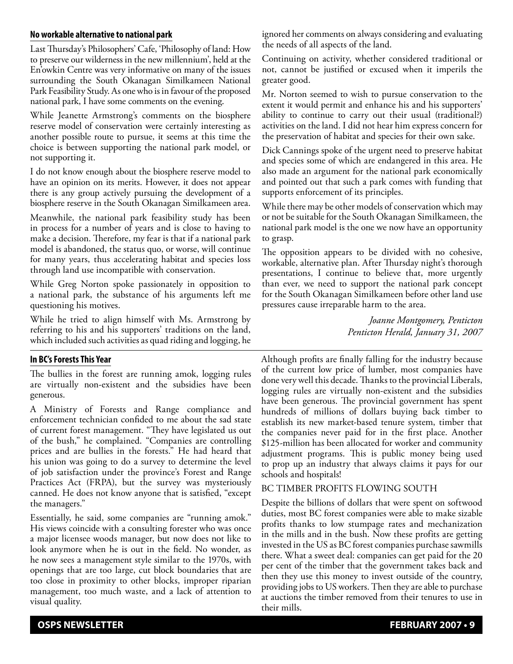### **No workable alternative to national park**

Last Thursday's Philosophers' Cafe, 'Philosophy of land: How to preserve our wilderness in the new millennium', held at the En'owkin Centre was very informative on many of the issues surrounding the South Okanagan Similkameen National Park Feasibility Study. As one who is in favour of the proposed national park, I have some comments on the evening.

While Jeanette Armstrong's comments on the biosphere reserve model of conservation were certainly interesting as another possible route to pursue, it seems at this time the choice is between supporting the national park model, or not supporting it.

I do not know enough about the biosphere reserve model to have an opinion on its merits. However, it does not appear there is any group actively pursuing the development of a biosphere reserve in the South Okanagan Similkameen area.

Meanwhile, the national park feasibility study has been in process for a number of years and is close to having to make a decision. Therefore, my fear is that if a national park model is abandoned, the status quo, or worse, will continue for many years, thus accelerating habitat and species loss through land use incompatible with conservation.

While Greg Norton spoke passionately in opposition to a national park, the substance of his arguments left me questioning his motives.

While he tried to align himself with Ms. Armstrong by referring to his and his supporters' traditions on the land, which included such activities as quad riding and logging, he

## **In BC's Forests This Year**

The bullies in the forest are running amok, logging rules are virtually non-existent and the subsidies have been generous.

A Ministry of Forests and Range compliance and enforcement technician confided to me about the sad state of current forest management. "They have legislated us out of the bush," he complained. "Companies are controlling prices and are bullies in the forests." He had heard that his union was going to do a survey to determine the level of job satisfaction under the province's Forest and Range Practices Act (FRPA), but the survey was mysteriously canned. He does not know anyone that is satisfied, "except the managers."

Essentially, he said, some companies are "running amok." His views coincide with a consulting forester who was once a major licensee woods manager, but now does not like to look anymore when he is out in the field. No wonder, as he now sees a management style similar to the 1970s, with openings that are too large, cut block boundaries that are too close in proximity to other blocks, improper riparian management, too much waste, and a lack of attention to visual quality.

ignored her comments on always considering and evaluating the needs of all aspects of the land.

Continuing on activity, whether considered traditional or not, cannot be justified or excused when it imperils the greater good.

Mr. Norton seemed to wish to pursue conservation to the extent it would permit and enhance his and his supporters' ability to continue to carry out their usual (traditional?) activities on the land. I did not hear him express concern for the preservation of habitat and species for their own sake.

Dick Cannings spoke of the urgent need to preserve habitat and species some of which are endangered in this area. He also made an argument for the national park economically and pointed out that such a park comes with funding that supports enforcement of its principles.

While there may be other models of conservation which may or not be suitable for the South Okanagan Similkameen, the national park model is the one we now have an opportunity to grasp.

The opposition appears to be divided with no cohesive, workable, alternative plan. After Thursday night's thorough presentations, I continue to believe that, more urgently than ever, we need to support the national park concept for the South Okanagan Similkameen before other land use pressures cause irreparable harm to the area.

> *Joanne Montgomery, Penticton Penticton Herald, January 31, 2007*

Although profits are finally falling for the industry because of the current low price of lumber, most companies have done very well this decade. Thanks to the provincial Liberals, logging rules are virtually non-existent and the subsidies have been generous. The provincial government has spent hundreds of millions of dollars buying back timber to establish its new market-based tenure system, timber that the companies never paid for in the first place. Another \$125-million has been allocated for worker and community adjustment programs. This is public money being used to prop up an industry that always claims it pays for our schools and hospitals!

## BC TIMBER PROFITS FLOWING SOUTH

Despite the billions of dollars that were spent on softwood duties, most BC forest companies were able to make sizable profits thanks to low stumpage rates and mechanization in the mills and in the bush. Now these profits are getting invested in the US as BC forest companies purchase sawmills there. What a sweet deal: companies can get paid for the 20 per cent of the timber that the government takes back and then they use this money to invest outside of the country, providing jobs to US workers. Then they are able to purchase at auctions the timber removed from their tenures to use in their mills.